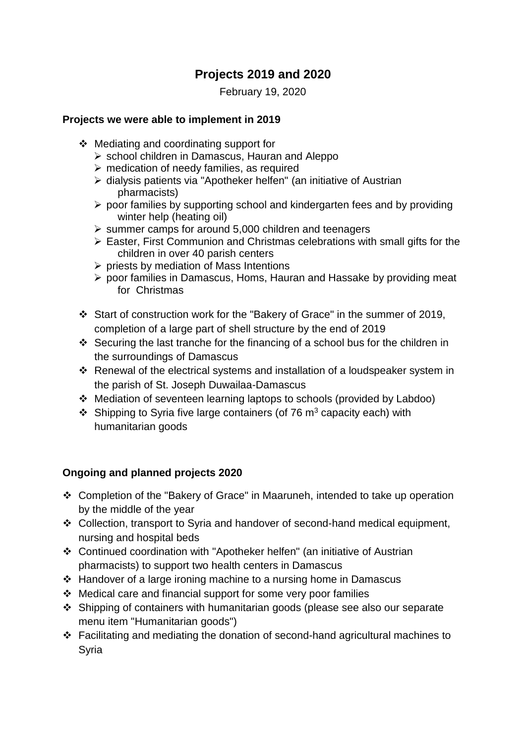## **Projects 2019 and 2020**

February 19, 2020

## **Projects we were able to implement in 2019**

- ❖ Mediating and coordinating support for
	- ➢ school children in Damascus, Hauran and Aleppo
	- ➢ medication of needy families, as required
	- ➢ dialysis patients via "Apotheker helfen" (an initiative of Austrian pharmacists)
	- ➢ poor families by supporting school and kindergarten fees and by providing winter help (heating oil)
	- ➢ summer camps for around 5,000 children and teenagers
	- ➢ Easter, First Communion and Christmas celebrations with small gifts for the children in over 40 parish centers
	- ➢ priests by mediation of Mass Intentions
	- ➢ poor families in Damascus, Homs, Hauran and Hassake by providing meat for Christmas
- ❖ Start of construction work for the "Bakery of Grace" in the summer of 2019, completion of a large part of shell structure by the end of 2019
- ❖ Securing the last tranche for the financing of a school bus for the children in the surroundings of Damascus
- ❖ Renewal of the electrical systems and installation of a loudspeaker system in the parish of St. Joseph Duwailaa-Damascus
- ❖ Mediation of seventeen learning laptops to schools (provided by Labdoo)
- $\div$  Shipping to Syria five large containers (of 76 m<sup>3</sup> capacity each) with humanitarian goods

## **Ongoing and planned projects 2020**

- ❖ Completion of the "Bakery of Grace" in Maaruneh, intended to take up operation by the middle of the year
- ❖ Collection, transport to Syria and handover of second-hand medical equipment, nursing and hospital beds
- ❖ Continued coordination with "Apotheker helfen" (an initiative of Austrian pharmacists) to support two health centers in Damascus
- ❖ Handover of a large ironing machine to a nursing home in Damascus
- ❖ Medical care and financial support for some very poor families
- ❖ Shipping of containers with humanitarian goods (please see also our separate menu item "Humanitarian goods")
- ❖ Facilitating and mediating the donation of second-hand agricultural machines to Syria